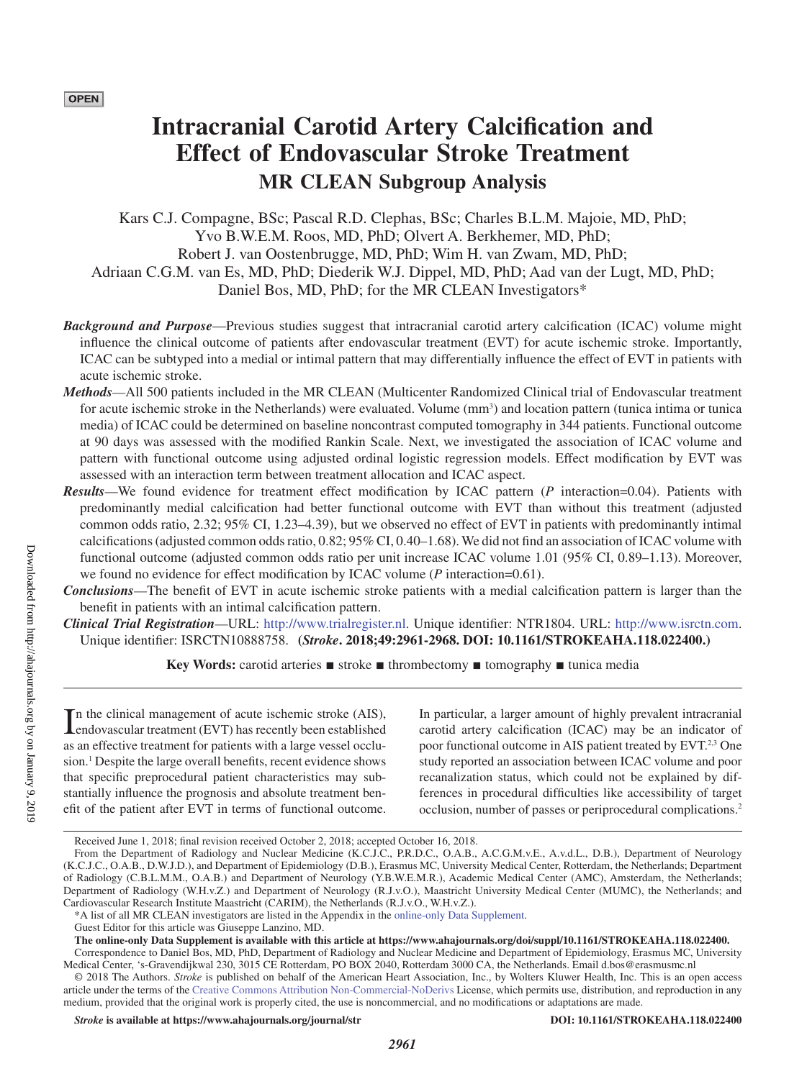# **Intracranial Carotid Artery Calcification and Effect of Endovascular Stroke Treatment MR CLEAN Subgroup Analysis**

Kars C.J. Compagne, BSc; Pascal R.D. Clephas, BSc; Charles B.L.M. Majoie, MD, PhD; Yvo B.W.E.M. Roos, MD, PhD; Olvert A. Berkhemer, MD, PhD; Robert J. van Oostenbrugge, MD, PhD; Wim H. van Zwam, MD, PhD; Adriaan C.G.M. van Es, MD, PhD; Diederik W.J. Dippel, MD, PhD; Aad van der Lugt, MD, PhD; Daniel Bos, MD, PhD; for the MR CLEAN Investigators\*

- *Background and Purpose*—Previous studies suggest that intracranial carotid artery calcification (ICAC) volume might influence the clinical outcome of patients after endovascular treatment (EVT) for acute ischemic stroke. Importantly, ICAC can be subtyped into a medial or intimal pattern that may differentially influence the effect of EVT in patients with acute ischemic stroke.
- *Methods*—All 500 patients included in the MR CLEAN (Multicenter Randomized Clinical trial of Endovascular treatment for acute ischemic stroke in the Netherlands) were evaluated. Volume (mm<sup>3</sup>) and location pattern (tunica intima or tunica media) of ICAC could be determined on baseline noncontrast computed tomography in 344 patients. Functional outcome at 90 days was assessed with the modified Rankin Scale. Next, we investigated the association of ICAC volume and pattern with functional outcome using adjusted ordinal logistic regression models. Effect modification by EVT was assessed with an interaction term between treatment allocation and ICAC aspect.
- *Results*—We found evidence for treatment effect modification by ICAC pattern (*P* interaction=0.04). Patients with predominantly medial calcification had better functional outcome with EVT than without this treatment (adjusted common odds ratio, 2.32; 95% CI, 1.23–4.39), but we observed no effect of EVT in patients with predominantly intimal calcifications (adjusted common odds ratio, 0.82; 95% CI, 0.40–1.68). We did not find an association of ICAC volume with functional outcome (adjusted common odds ratio per unit increase ICAC volume 1.01 (95% CI, 0.89–1.13). Moreover, we found no evidence for effect modification by ICAC volume (*P* interaction=0.61).
- *Conclusions*—The benefit of EVT in acute ischemic stroke patients with a medial calcification pattern is larger than the benefit in patients with an intimal calcification pattern.
- *Clinical Trial Registration*—URL: <http://www.trialregister.nl>. Unique identifier: NTR1804. URL: [http://www.isrctn.com.](http://www.isrctn.com) Unique identifier: ISRCTN10888758. **(***Stroke***. 2018;49:2961-2968. DOI: 10.1161/STROKEAHA.118.022400.)**

**Key Words:** carotid arteries ■ stroke ■ thrombectomy ■ tomography ■ tunica media

In the clinical management of acute ischemic stroke (AIS),<br>dendovascular treatment (EVT) has recently been established **L**endovascular treatment (EVT) has recently been established as an effective treatment for patients with a large vessel occlusion.<sup>1</sup> Despite the large overall benefits, recent evidence shows that specific preprocedural patient characteristics may substantially influence the prognosis and absolute treatment benefit of the patient after EVT in terms of functional outcome.

In particular, a larger amount of highly prevalent intracranial carotid artery calcification (ICAC) may be an indicator of poor functional outcome in AIS patient treated by EVT.<sup>2,3</sup> One study reported an association between ICAC volume and poor recanalization status, which could not be explained by differences in procedural difficulties like accessibility of target occlusion, number of passes or periprocedural complications.2

medium, provided that the original work is properly cited, the use is noncommercial, and no modifications or adaptations are made.

Received June 1, 2018; final revision received October 2, 2018; accepted October 16, 2018.

From the Department of Radiology and Nuclear Medicine (K.C.J.C., P.R.D.C., O.A.B., A.C.G.M.v.E., A.v.d.L., D.B.), Department of Neurology (K.C.J.C., O.A.B., D.W.J.D.), and Department of Epidemiology (D.B.), Erasmus MC, University Medical Center, Rotterdam, the Netherlands; Department of Radiology (C.B.L.M.M., O.A.B.) and Department of Neurology (Y.B.W.E.M.R.), Academic Medical Center (AMC), Amsterdam, the Netherlands; Department of Radiology (W.H.v.Z.) and Department of Neurology (R.J.v.O.), Maastricht University Medical Center (MUMC), the Netherlands; and Cardiovascular Research Institute Maastricht (CARIM), the Netherlands (R.J.v.O., W.H.v.Z.).

<sup>\*</sup>A list of all MR CLEAN investigators are listed in the Appendix in the [online-only Data Supplement](https://www.ahajournals.org/doi/suppl/10.1161/STROKEAHA.118.022400).

Guest Editor for this article was Giuseppe Lanzino, MD.

**The online-only Data Supplement is available with this article at <https://www.ahajournals.org/doi/suppl/10.1161/STROKEAHA.118.022400>.** Correspondence to Daniel Bos, MD, PhD, Department of Radiology and Nuclear Medicine and Department of Epidemiology, Erasmus MC, University

Medical Center, 's-Gravendijkwal 230, 3015 CE Rotterdam, PO BOX 2040, Rotterdam 3000 CA, the Netherlands. Email [d.bos@erasmusmc.nl](mailto:d.bos@erasmusmc.nl) © 2018 The Authors. *Stroke* is published on behalf of the American Heart Association, Inc., by Wolters Kluwer Health, Inc. This is an open access article under the terms of the [Creative Commons Attribution Non-Commercial-NoDerivs](https://creativecommons.org/licenses/by-nc-nd/4.0/) License, which permits use, distribution, and reproduction in any

*Stroke* **is available at<https://www.ahajournals.org/journal/str> DOI: 10.1161/STROKEAHA.118.022400**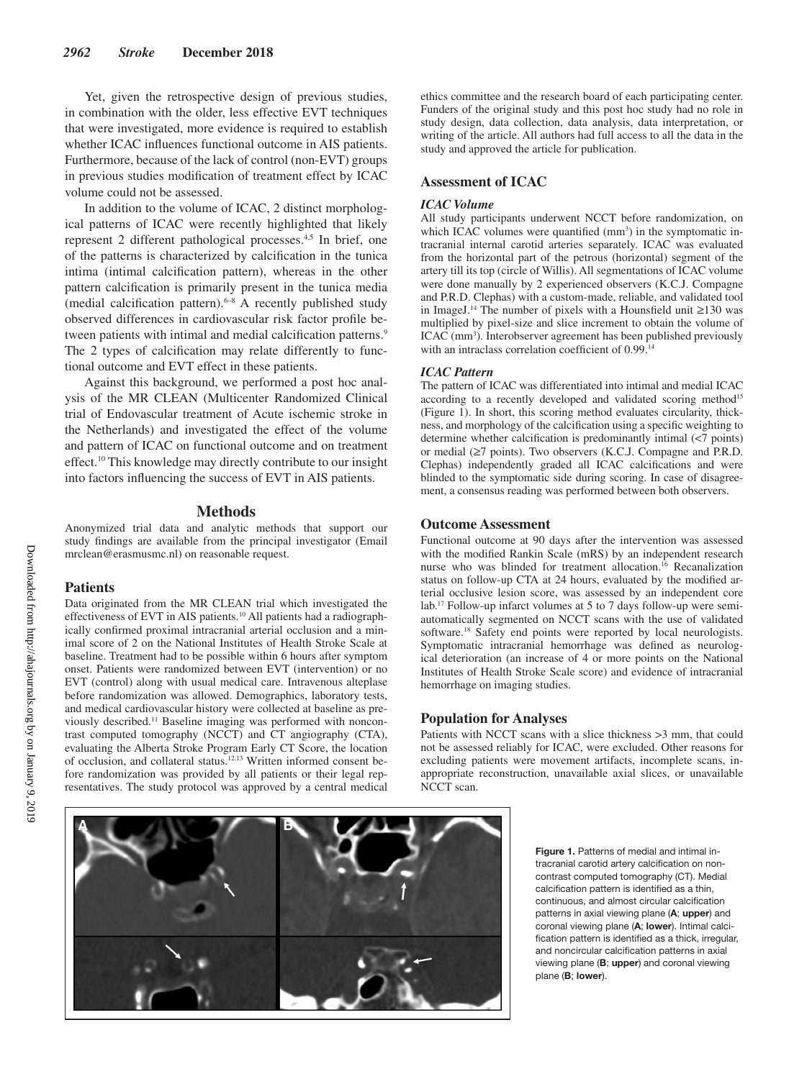Yet, given the retrospective design of previous studies, in combination with the older, less effective EVT techniques that were investigated, more evidence is required to establish whether ICAC influences functional outcome in AIS patients. Furthermore, because of the lack of control (non-EVT) groups in previous studies modification of treatment effect by ICAC volume could not be assessed.

In addition to the volume of ICAC, 2 distinct morphological patterns of ICAC were recently highlighted that likely represent 2 different pathological processes.4,5 In brief, one of the patterns is characterized by calcification in the tunica intima (intimal calcification pattern), whereas in the other pattern calcification is primarily present in the tunica media (medial calcification pattern).6–8 A recently published study observed differences in cardiovascular risk factor profile between patients with intimal and medial calcification patterns.<sup>9</sup> The 2 types of calcification may relate differently to functional outcome and EVT effect in these patients.

Against this background, we performed a post hoc analysis of the MR CLEAN (Multicenter Randomized Clinical trial of Endovascular treatment of Acute ischemic stroke in the Netherlands) and investigated the effect of the volume and pattern of ICAC on functional outcome and on treatment effect.10 This knowledge may directly contribute to our insight into factors influencing the success of EVT in AIS patients.

#### **Methods**

Anonymized trial data and analytic methods that support our study findings are available from the principal investigator (Email mrclean@erasmusmc.nl) on reasonable request.

# **Patients**

Data originated from the MR CLEAN trial which investigated the effectiveness of EVT in AIS patients.<sup>10</sup> All patients had a radiographically confirmed proximal intracranial arterial occlusion and a minimal score of 2 on the National Institutes of Health Stroke Scale at baseline. Treatment had to be possible within 6 hours after symptom onset. Patients were randomized between EVT (intervention) or no EVT (control) along with usual medical care. Intravenous alteplase before randomization was allowed. Demographics, laboratory tests, and medical cardiovascular history were collected at baseline as previously described.11 Baseline imaging was performed with noncontrast computed tomography (NCCT) and CT angiography (CTA), evaluating the Alberta Stroke Program Early CT Score, the location of occlusion, and collateral status.12,13 Written informed consent before randomization was provided by all patients or their legal representatives. The study protocol was approved by a central medical ethics committee and the research board of each participating center. Funders of the original study and this post hoc study had no role in study design, data collection, data analysis, data interpretation, or writing of the article. All authors had full access to all the data in the study and approved the article for publication.

#### **Assessment of ICAC**

#### *ICAC Volume*

All study participants underwent NCCT before randomization, on which ICAC volumes were quantified (mm<sup>3</sup>) in the symptomatic intracranial internal carotid arteries separately. ICAC was evaluated from the horizontal part of the petrous (horizontal) segment of the artery till its top (circle of Willis). All segmentations of ICAC volume were done manually by 2 experienced observers (K.C.J. Compagne and P.R.D. Clephas) with a custom-made, reliable, and validated tool in ImageJ.14 The number of pixels with a Hounsfield unit ≥130 was multiplied by pixel-size and slice increment to obtain the volume of ICAC (mm<sup>3</sup>). Interobserver agreement has been published previously with an intraclass correlation coefficient of 0.99.<sup>14</sup>

#### *ICAC Pattern*

The pattern of ICAC was differentiated into intimal and medial ICAC according to a recently developed and validated scoring method<sup>15</sup> (Figure 1). In short, this scoring method evaluates circularity, thickness, and morphology of the calcification using a specific weighting to determine whether calcification is predominantly intimal (<7 points) or medial (≥7 points). Two observers (K.C.J. Compagne and P.R.D. Clephas) independently graded all ICAC calcifications and were blinded to the symptomatic side during scoring. In case of disagreement, a consensus reading was performed between both observers.

## **Outcome Assessment**

Functional outcome at 90 days after the intervention was assessed with the modified Rankin Scale (mRS) by an independent research nurse who was blinded for treatment allocation.<sup>16</sup> Recanalization status on follow-up CTA at 24 hours, evaluated by the modified arterial occlusive lesion score, was assessed by an independent core lab.17 Follow-up infarct volumes at 5 to 7 days follow-up were semiautomatically segmented on NCCT scans with the use of validated software.18 Safety end points were reported by local neurologists. Symptomatic intracranial hemorrhage was defined as neurological deterioration (an increase of 4 or more points on the National Institutes of Health Stroke Scale score) and evidence of intracranial hemorrhage on imaging studies.

# **Population for Analyses**

Patients with NCCT scans with a slice thickness >3 mm, that could not be assessed reliably for ICAC, were excluded. Other reasons for excluding patients were movement artifacts, incomplete scans, inappropriate reconstruction, unavailable axial slices, or unavailable NCCT scan.



**Figure 1.** Patterns of medial and intimal intracranial carotid artery calcification on noncontrast computed tomography (CT). Medial calcification pattern is identified as a thin, continuous, and almost circular calcification patterns in axial viewing plane (**A**; **upper**) and coronal viewing plane (**A**; **lower**). Intimal calcification pattern is identified as a thick, irregular, and noncircular calcification patterns in axial viewing plane (**B**; **upper**) and coronal viewing plane (**B**; **lower**).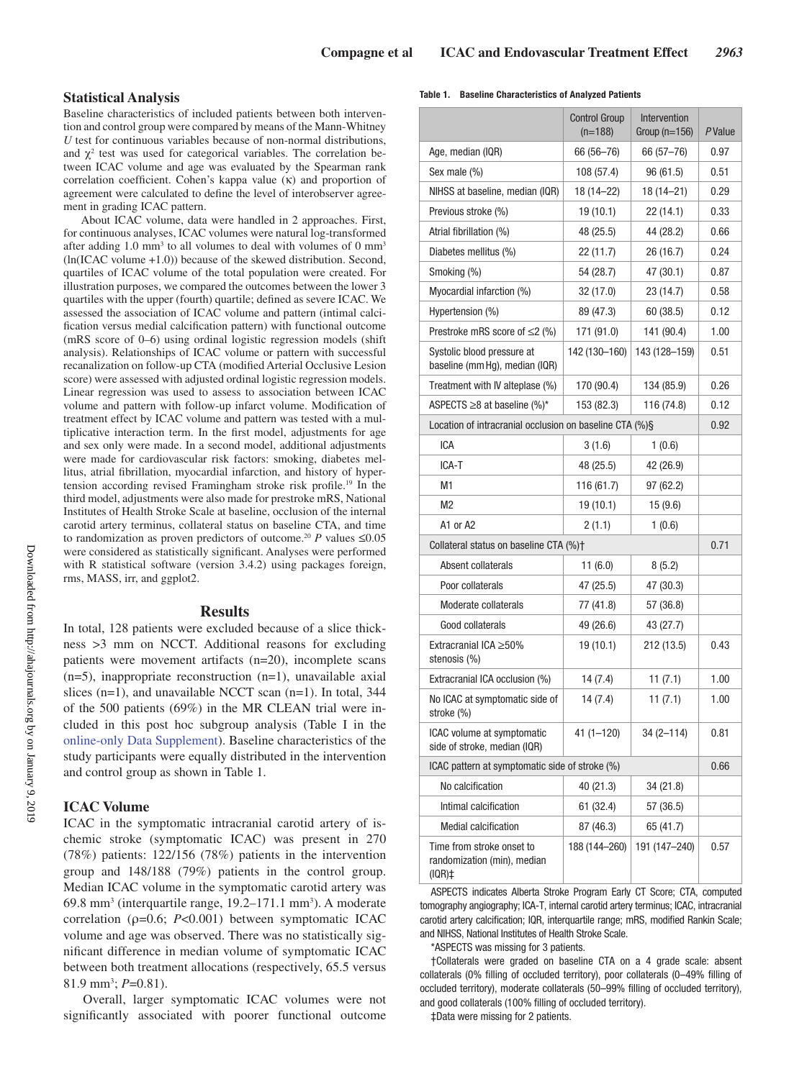## **Statistical Analysis**

Baseline characteristics of included patients between both intervention and control group were compared by means of the Mann-Whitney *U* test for continuous variables because of non-normal distributions, and  $\chi^2$  test was used for categorical variables. The correlation between ICAC volume and age was evaluated by the Spearman rank correlation coefficient. Cohen's kappa value (κ) and proportion of agreement were calculated to define the level of interobserver agreement in grading ICAC pattern.

About ICAC volume, data were handled in 2 approaches. First, for continuous analyses, ICAC volumes were natural log-transformed after adding 1.0 mm<sup>3</sup> to all volumes to deal with volumes of 0 mm<sup>3</sup> (ln(ICAC volume +1.0)) because of the skewed distribution. Second, quartiles of ICAC volume of the total population were created. For illustration purposes, we compared the outcomes between the lower 3 quartiles with the upper (fourth) quartile; defined as severe ICAC. We assessed the association of ICAC volume and pattern (intimal calcification versus medial calcification pattern) with functional outcome (mRS score of 0–6) using ordinal logistic regression models (shift analysis). Relationships of ICAC volume or pattern with successful recanalization on follow-up CTA (modified Arterial Occlusive Lesion score) were assessed with adjusted ordinal logistic regression models. Linear regression was used to assess to association between ICAC volume and pattern with follow-up infarct volume. Modification of treatment effect by ICAC volume and pattern was tested with a multiplicative interaction term. In the first model, adjustments for age and sex only were made. In a second model, additional adjustments were made for cardiovascular risk factors: smoking, diabetes mellitus, atrial fibrillation, myocardial infarction, and history of hypertension according revised Framingham stroke risk profile.19 In the third model, adjustments were also made for prestroke mRS, National Institutes of Health Stroke Scale at baseline, occlusion of the internal carotid artery terminus, collateral status on baseline CTA, and time to randomization as proven predictors of outcome.<sup>20</sup> *P* values  $\leq 0.05$ were considered as statistically significant. Analyses were performed with R statistical software (version 3.4.2) using packages foreign, rms, MASS, irr, and ggplot2.

# **Results**

In total, 128 patients were excluded because of a slice thickness >3 mm on NCCT. Additional reasons for excluding patients were movement artifacts (n=20), incomplete scans (n=5), inappropriate reconstruction (n=1), unavailable axial slices (n=1), and unavailable NCCT scan (n=1). In total, 344 of the 500 patients (69%) in the MR CLEAN trial were included in this post hoc subgroup analysis (Table I in the [online-only Data Supplement](https://www.ahajournals.org/doi/suppl/10.1161/STROKEAHA.118.022400)). Baseline characteristics of the study participants were equally distributed in the intervention and control group as shown in Table 1.

# **ICAC Volume**

ICAC in the symptomatic intracranial carotid artery of ischemic stroke (symptomatic ICAC) was present in 270 (78%) patients: 122/156 (78%) patients in the intervention group and 148/188 (79%) patients in the control group. Median ICAC volume in the symptomatic carotid artery was 69.8 mm<sup>3</sup> (interquartile range, 19.2–171.1 mm<sup>3</sup>). A moderate correlation (ρ=0.6; *P*<0.001) between symptomatic ICAC volume and age was observed. There was no statistically significant difference in median volume of symptomatic ICAC between both treatment allocations (respectively, 65.5 versus 81.9 mm3 ; *P*=0.81).

Overall, larger symptomatic ICAC volumes were not significantly associated with poorer functional outcome

#### **Table 1. Baseline Characteristics of Analyzed Patients**

|                                                                   | <b>Control Group</b><br>$(n=188)$ | Intervention<br>Group $(n=156)$ | PValue |
|-------------------------------------------------------------------|-----------------------------------|---------------------------------|--------|
| Age, median (IQR)                                                 | 66 (56-76)                        | 66 (57-76)                      | 0.97   |
| Sex male (%)                                                      | 108 (57.4)                        | 96 (61.5)                       | 0.51   |
| NIHSS at baseline, median (IQR)                                   | 18 (14-22)                        | $18(14 - 21)$                   | 0.29   |
| Previous stroke (%)                                               | 19 (10.1)                         | 22 (14.1)                       | 0.33   |
| Atrial fibrillation (%)                                           | 48 (25.5)                         | 44 (28.2)                       | 0.66   |
| Diabetes mellitus (%)                                             | 22 (11.7)                         | 26 (16.7)                       | 0.24   |
| Smoking (%)                                                       | 54 (28.7)                         | 47 (30.1)                       | 0.87   |
| Myocardial infarction (%)                                         | 32 (17.0)                         | 23 (14.7)                       | 0.58   |
| Hypertension (%)                                                  | 89 (47.3)                         | 60 (38.5)                       | 0.12   |
| Prestroke mRS score of $\leq$ 2 (%)                               | 171 (91.0)                        | 141 (90.4)                      | 1.00   |
| Systolic blood pressure at<br>baseline (mm Hg), median (IQR)      | 142 (130-160)                     | 143 (128-159)                   | 0.51   |
| Treatment with IV alteplase (%)                                   | 170 (90.4)                        | 134 (85.9)                      | 0.26   |
| ASPECTS $\geq$ 8 at baseline (%)*                                 | 153 (82.3)                        | 116 (74.8)                      | 0.12   |
| Location of intracranial occlusion on baseline CTA (%)§           |                                   |                                 | 0.92   |
| ICA                                                               | 3(1.6)                            | 1(0.6)                          |        |
| ICA-T                                                             | 48 (25.5)                         | 42 (26.9)                       |        |
| M1                                                                | 116 (61.7)                        | 97 (62.2)                       |        |
| M <sub>2</sub>                                                    | 19(10.1)                          | 15(9.6)                         |        |
| A1 or A2                                                          | 2(1.1)                            | 1(0.6)                          |        |
| Collateral status on baseline CTA (%)†                            |                                   |                                 | 0.71   |
| Absent collaterals                                                | 11(6.0)                           | 8(5.2)                          |        |
| Poor collaterals                                                  | 47 (25.5)                         | 47 (30.3)                       |        |
| Moderate collaterals                                              | 77 (41.8)                         | 57 (36.8)                       |        |
| Good collaterals                                                  | 49 (26.6)                         | 43 (27.7)                       |        |
| Extracranial ICA $\geq$ 50%<br>stenosis (%)                       | 19(10.1)                          | 212 (13.5)                      | 0.43   |
| Extracranial ICA occlusion (%)                                    | 14(7.4)                           | 11(7.1)                         | 1.00   |
| No ICAC at symptomatic side of<br>stroke (%)                      | 14 (7.4)                          | 11(7.1)                         | 1.00   |
| ICAC volume at symptomatic<br>side of stroke, median (IQR)        | $41(1 - 120)$                     | $34(2 - 114)$                   | 0.81   |
| ICAC pattern at symptomatic side of stroke (%)                    |                                   |                                 | 0.66   |
| No calcification                                                  | 40 (21.3)                         | 34 (21.8)                       |        |
| Intimal calcification                                             | 61 (32.4)                         | 57 (36.5)                       |        |
| <b>Medial calcification</b>                                       | 87 (46.3)                         | 65 (41.7)                       |        |
| Time from stroke onset to<br>randomization (min), median<br>(IQR) | 188 (144-260)                     | 191 (147-240)                   | 0.57   |

ASPECTS indicates Alberta Stroke Program Early CT Score; CTA, computed tomography angiography; ICA-T, internal carotid artery terminus; ICAC, intracranial carotid artery calcification; IQR, interquartile range; mRS, modified Rankin Scale; and NIHSS, National Institutes of Health Stroke Scale.

\*ASPECTS was missing for 3 patients.

†Collaterals were graded on baseline CTA on a 4 grade scale: absent collaterals (0% filling of occluded territory), poor collaterals (0–49% filling of occluded territory), moderate collaterals (50–99% filling of occluded territory), and good collaterals (100% filling of occluded territory).

‡Data were missing for 2 patients.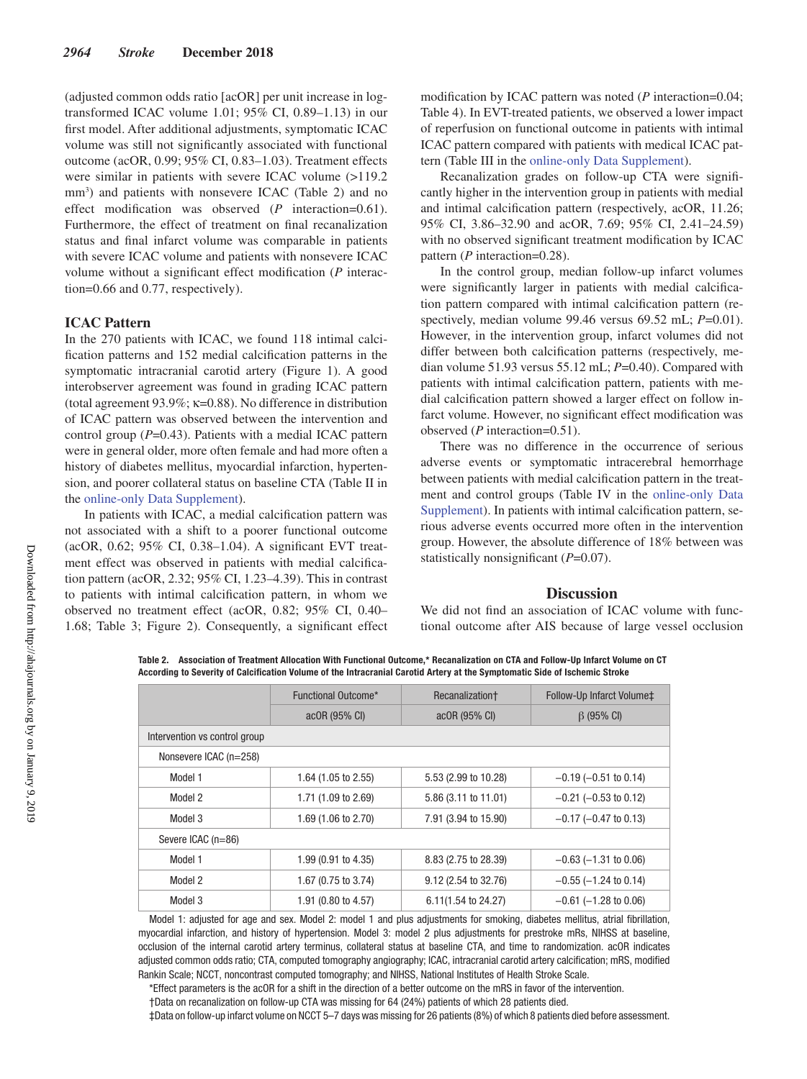(adjusted common odds ratio [acOR] per unit increase in logtransformed ICAC volume 1.01; 95% CI, 0.89–1.13) in our first model. After additional adjustments, symptomatic ICAC volume was still not significantly associated with functional outcome (acOR, 0.99; 95% CI, 0.83–1.03). Treatment effects were similar in patients with severe ICAC volume (>119.2) mm<sup>3</sup>) and patients with nonsevere ICAC (Table 2) and no effect modification was observed (*P* interaction=0.61). Furthermore, the effect of treatment on final recanalization status and final infarct volume was comparable in patients with severe ICAC volume and patients with nonsevere ICAC volume without a significant effect modification (*P* interaction=0.66 and 0.77, respectively).

# **ICAC Pattern**

In the 270 patients with ICAC, we found 118 intimal calcification patterns and 152 medial calcification patterns in the symptomatic intracranial carotid artery (Figure 1). A good interobserver agreement was found in grading ICAC pattern (total agreement 93.9%; κ=0.88). No difference in distribution of ICAC pattern was observed between the intervention and control group (*P*=0.43). Patients with a medial ICAC pattern were in general older, more often female and had more often a history of diabetes mellitus, myocardial infarction, hypertension, and poorer collateral status on baseline CTA (Table II in the [online-only Data Supplement\)](https://www.ahajournals.org/doi/suppl/10.1161/STROKEAHA.118.022400).

In patients with ICAC, a medial calcification pattern was not associated with a shift to a poorer functional outcome (acOR, 0.62; 95% CI, 0.38–1.04). A significant EVT treatment effect was observed in patients with medial calcification pattern (acOR, 2.32; 95% CI, 1.23–4.39). This in contrast to patients with intimal calcification pattern, in whom we observed no treatment effect (acOR, 0.82; 95% CI, 0.40– 1.68; Table 3; Figure 2). Consequently, a significant effect modification by ICAC pattern was noted (*P* interaction=0.04; Table 4). In EVT-treated patients, we observed a lower impact of reperfusion on functional outcome in patients with intimal ICAC pattern compared with patients with medical ICAC pattern (Table III in the [online-only Data Supplement](https://www.ahajournals.org/doi/suppl/10.1161/STROKEAHA.118.022400)).

Recanalization grades on follow-up CTA were significantly higher in the intervention group in patients with medial and intimal calcification pattern (respectively, acOR, 11.26; 95% CI, 3.86–32.90 and acOR, 7.69; 95% CI, 2.41–24.59) with no observed significant treatment modification by ICAC pattern (*P* interaction=0.28).

In the control group, median follow-up infarct volumes were significantly larger in patients with medial calcification pattern compared with intimal calcification pattern (respectively, median volume 99.46 versus 69.52 mL; *P*=0.01). However, in the intervention group, infarct volumes did not differ between both calcification patterns (respectively, median volume 51.93 versus 55.12 mL; *P*=0.40). Compared with patients with intimal calcification pattern, patients with medial calcification pattern showed a larger effect on follow infarct volume. However, no significant effect modification was observed (*P* interaction=0.51).

There was no difference in the occurrence of serious adverse events or symptomatic intracerebral hemorrhage between patients with medial calcification pattern in the treatment and control groups (Table IV in the [online-only Data](https://www.ahajournals.org/doi/suppl/10.1161/STROKEAHA.118.022400)  [Supplement](https://www.ahajournals.org/doi/suppl/10.1161/STROKEAHA.118.022400)). In patients with intimal calcification pattern, serious adverse events occurred more often in the intervention group. However, the absolute difference of 18% between was statistically nonsignificant (*P*=0.07).

# **Discussion**

We did not find an association of ICAC volume with functional outcome after AIS because of large vessel occlusion

**Table 2. Association of Treatment Allocation With Functional Outcome,\* Recanalization on CTA and Follow-Up Infarct Volume on CT According to Severity of Calcification Volume of the Intracranial Carotid Artery at the Symptomatic Side of Ischemic Stroke**

|                               | Functional Outcome*            | Recanalization+                | Follow-Up Infarct Volume‡  |  |  |
|-------------------------------|--------------------------------|--------------------------------|----------------------------|--|--|
|                               | acOR (95% CI)                  | acOR (95% CI)                  | $\beta$ (95% CI)           |  |  |
| Intervention vs control group |                                |                                |                            |  |  |
| Nonsevere ICAC (n=258)        |                                |                                |                            |  |  |
| Model 1                       | 1.64 (1.05 to 2.55)            | 5.53 (2.99 to 10.28)           | $-0.19$ ( $-0.51$ to 0.14) |  |  |
| Model 2                       | 1.71 $(1.09 \text{ to } 2.69)$ | $5.86(3.11 \text{ to } 11.01)$ | $-0.21$ ( $-0.53$ to 0.12) |  |  |
| Model 3                       | 1.69 (1.06 to 2.70)            | 7.91 (3.94 to 15.90)           | $-0.17$ ( $-0.47$ to 0.13) |  |  |
| Severe ICAC (n=86)            |                                |                                |                            |  |  |
| Model 1                       | $1.99(0.91)$ to 4.35)          | 8.83 (2.75 to 28.39)           | $-0.63$ ( $-1.31$ to 0.06) |  |  |
| Model 2                       | 1.67 (0.75 to 3.74)            | 9.12 (2.54 to 32.76)           | $-0.55$ ( $-1.24$ to 0.14) |  |  |
| Model 3                       | 1.91 (0.80 to 4.57)            | 6.11(1.54 to 24.27)            | $-0.61$ ( $-1.28$ to 0.06) |  |  |

Model 1: adjusted for age and sex. Model 2: model 1 and plus adjustments for smoking, diabetes mellitus, atrial fibrillation, myocardial infarction, and history of hypertension. Model 3: model 2 plus adjustments for prestroke mRs, NIHSS at baseline, occlusion of the internal carotid artery terminus, collateral status at baseline CTA, and time to randomization. acOR indicates adjusted common odds ratio; CTA, computed tomography angiography; ICAC, intracranial carotid artery calcification; mRS, modified Rankin Scale; NCCT, noncontrast computed tomography; and NIHSS, National Institutes of Health Stroke Scale.

\*Effect parameters is the acOR for a shift in the direction of a better outcome on the mRS in favor of the intervention.

†Data on recanalization on follow-up CTA was missing for 64 (24%) patients of which 28 patients died.

‡Data on follow-up infarct volume on NCCT 5–7 days was missing for 26 patients (8%) of which 8 patients died before assessment.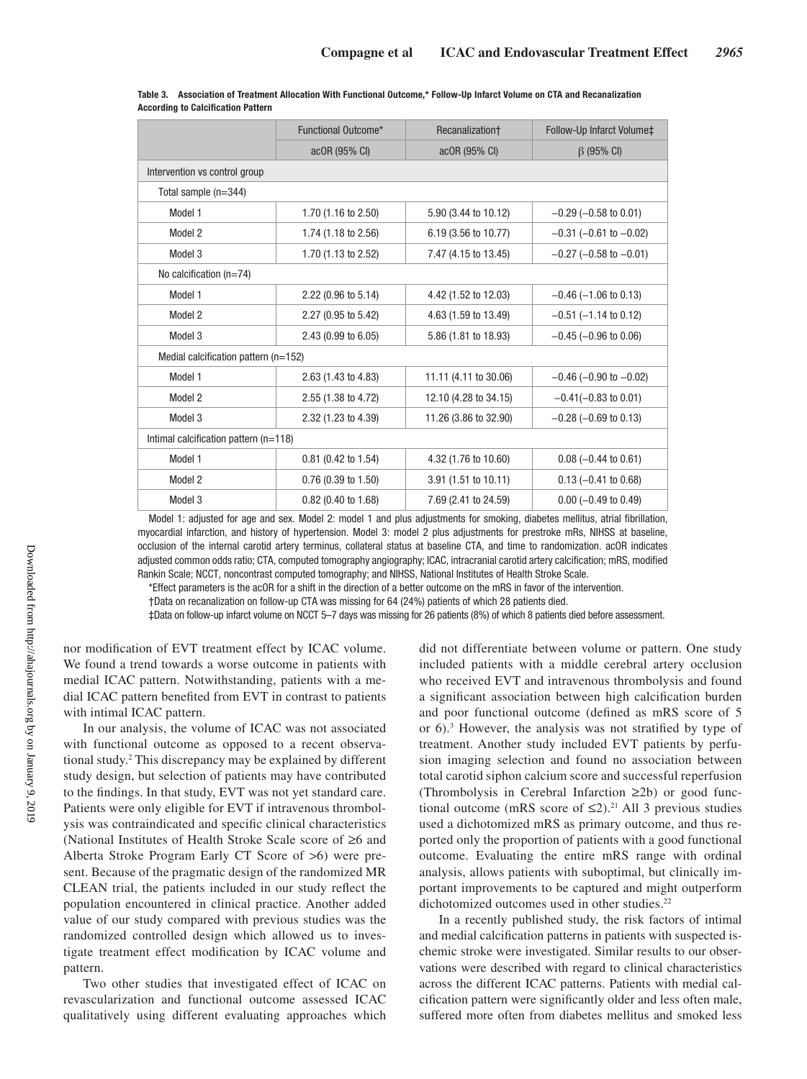|                                         | Functional Outcome*   | Recanalization+<br>Follow-Up Infarct Volume‡ |                                 |  |
|-----------------------------------------|-----------------------|----------------------------------------------|---------------------------------|--|
|                                         | acOR (95% CI)         | acOR (95% CI)                                | $\beta$ (95% CI)                |  |
| Intervention vs control group           |                       |                                              |                                 |  |
| Total sample (n=344)                    |                       |                                              |                                 |  |
| Model 1                                 | 1.70 (1.16 to 2.50)   | 5.90 (3.44 to 10.12)                         | $-0.29$ ( $-0.58$ to 0.01)      |  |
| Model 2                                 | 1.74 (1.18 to 2.56)   | 6.19 (3.56 to 10.77)                         | $-0.31$ ( $-0.61$ to $-0.02$ )  |  |
| Model 3                                 | 1.70 (1.13 to 2.52)   | 7.47 (4.15 to 13.45)                         | $-0.27$ ( $-0.58$ to $-0.01$ )  |  |
| No calcification $(n=74)$               |                       |                                              |                                 |  |
| Model 1                                 | 2.22 (0.96 to 5.14)   | 4.42 (1.52 to 12.03)                         | $-0.46$ ( $-1.06$ to 0.13)      |  |
| Model 2                                 | 2.27 (0.95 to 5.42)   | 4.63 (1.59 to 13.49)                         | $-0.51$ ( $-1.14$ to 0.12)      |  |
| Model 3                                 | 2.43 (0.99 to 6.05)   | 5.86 (1.81 to 18.93)                         | $-0.45$ ( $-0.96$ to 0.06)      |  |
| Medial calcification pattern $(n=152)$  |                       |                                              |                                 |  |
| Model 1                                 | 2.63 (1.43 to 4.83)   | 11.11 (4.11 to 30.06)                        | $-0.46$ ( $-0.90$ to $-0.02$ )  |  |
| Model 2                                 | 2.55 (1.38 to 4.72)   | 12.10 (4.28 to 34.15)                        | $-0.41(-0.83 \text{ to } 0.01)$ |  |
| Model 3                                 | 2.32 (1.23 to 4.39)   | 11.26 (3.86 to 32.90)                        | $-0.28$ ( $-0.69$ to 0.13)      |  |
| Intimal calcification pattern $(n=118)$ |                       |                                              |                                 |  |
| Model 1                                 | $0.81$ (0.42 to 1.54) | 4.32 (1.76 to 10.60)                         | $0.08$ (-0.44 to 0.61)          |  |
| Model 2                                 | $0.76$ (0.39 to 1.50) | 3.91 (1.51 to 10.11)                         | $0.13$ (-0.41 to 0.68)          |  |
| Model 3                                 | 0.82 (0.40 to 1.68)   | 7.69 (2.41 to 24.59)                         | $0.00$ (-0.49 to 0.49)          |  |

| Table 3. Association of Treatment Allocation With Functional Outcome,* Follow-Up Infarct Volume on CTA and Recanalization |  |
|---------------------------------------------------------------------------------------------------------------------------|--|
| <b>According to Calcification Pattern</b>                                                                                 |  |

Model 1: adjusted for age and sex. Model 2: model 1 and plus adjustments for smoking, diabetes mellitus, atrial fibrillation, myocardial infarction, and history of hypertension. Model 3: model 2 plus adjustments for prestroke mRs, NIHSS at baseline, occlusion of the internal carotid artery terminus, collateral status at baseline CTA, and time to randomization. acOR indicates adjusted common odds ratio; CTA, computed tomography angiography; ICAC, intracranial carotid artery calcification; mRS, modified Rankin Scale; NCCT, noncontrast computed tomography; and NIHSS, National Institutes of Health Stroke Scale.

\*Effect parameters is the acOR for a shift in the direction of a better outcome on the mRS in favor of the intervention.

†Data on recanalization on follow-up CTA was missing for 64 (24%) patients of which 28 patients died.

‡Data on follow-up infarct volume on NCCT 5–7 days was missing for 26 patients (8%) of which 8 patients died before assessment.

nor modification of EVT treatment effect by ICAC volume. We found a trend towards a worse outcome in patients with medial ICAC pattern. Notwithstanding, patients with a medial ICAC pattern benefited from EVT in contrast to patients with intimal ICAC pattern.

In our analysis, the volume of ICAC was not associated with functional outcome as opposed to a recent observational study.2 This discrepancy may be explained by different study design, but selection of patients may have contributed to the findings. In that study, EVT was not yet standard care. Patients were only eligible for EVT if intravenous thrombolysis was contraindicated and specific clinical characteristics (National Institutes of Health Stroke Scale score of ≥6 and Alberta Stroke Program Early CT Score of >6) were present. Because of the pragmatic design of the randomized MR CLEAN trial, the patients included in our study reflect the population encountered in clinical practice. Another added value of our study compared with previous studies was the randomized controlled design which allowed us to investigate treatment effect modification by ICAC volume and pattern.

Two other studies that investigated effect of ICAC on revascularization and functional outcome assessed ICAC qualitatively using different evaluating approaches which did not differentiate between volume or pattern. One study included patients with a middle cerebral artery occlusion who received EVT and intravenous thrombolysis and found a significant association between high calcification burden and poor functional outcome (defined as mRS score of 5 or 6).3 However, the analysis was not stratified by type of treatment. Another study included EVT patients by perfusion imaging selection and found no association between total carotid siphon calcium score and successful reperfusion (Thrombolysis in Cerebral Infarction ≥2b) or good functional outcome (mRS score of  $\leq$ 2).<sup>21</sup> All 3 previous studies used a dichotomized mRS as primary outcome, and thus reported only the proportion of patients with a good functional outcome. Evaluating the entire mRS range with ordinal analysis, allows patients with suboptimal, but clinically important improvements to be captured and might outperform dichotomized outcomes used in other studies.<sup>22</sup>

In a recently published study, the risk factors of intimal and medial calcification patterns in patients with suspected ischemic stroke were investigated. Similar results to our observations were described with regard to clinical characteristics across the different ICAC patterns. Patients with medial calcification pattern were significantly older and less often male, suffered more often from diabetes mellitus and smoked less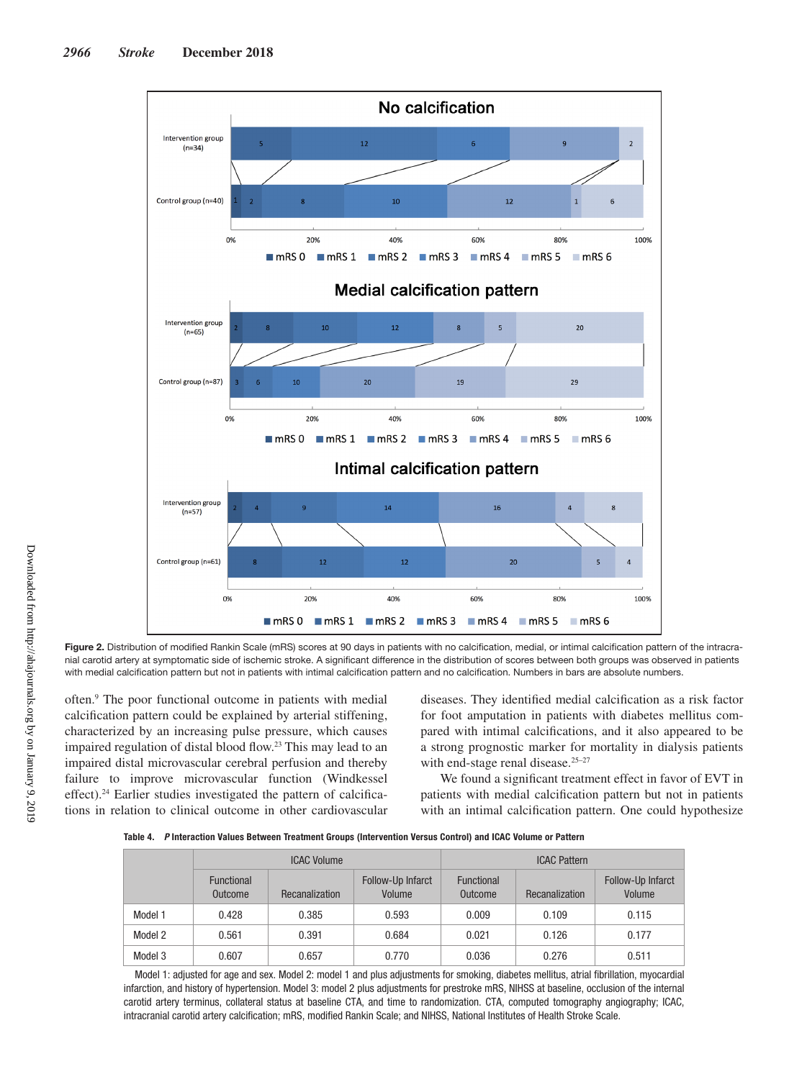

Figure 2. Distribution of modified Rankin Scale (mRS) scores at 90 days in patients with no calcification, medial, or intimal calcification pattern of the intracranial carotid artery at symptomatic side of ischemic stroke. A significant difference in the distribution of scores between both groups was observed in patients with medial calcification pattern but not in patients with intimal calcification pattern and no calcification. Numbers in bars are absolute numbers.

often.9 The poor functional outcome in patients with medial calcification pattern could be explained by arterial stiffening, characterized by an increasing pulse pressure, which causes impaired regulation of distal blood flow.<sup>23</sup> This may lead to an impaired distal microvascular cerebral perfusion and thereby failure to improve microvascular function (Windkessel effect).<sup>24</sup> Earlier studies investigated the pattern of calcifications in relation to clinical outcome in other cardiovascular

diseases. They identified medial calcification as a risk factor for foot amputation in patients with diabetes mellitus compared with intimal calcifications, and it also appeared to be a strong prognostic marker for mortality in dialysis patients with end-stage renal disease.<sup>25-27</sup>

We found a significant treatment effect in favor of EVT in patients with medial calcification pattern but not in patients with an intimal calcification pattern. One could hypothesize

**Table 4.** *P* **Interaction Values Between Treatment Groups (Intervention Versus Control) and ICAC Volume or Pattern**

|         | <b>ICAC Volume</b>           |                | <b>ICAC Pattern</b>         |                              |                |                             |
|---------|------------------------------|----------------|-----------------------------|------------------------------|----------------|-----------------------------|
|         | <b>Functional</b><br>Outcome | Recanalization | Follow-Up Infarct<br>Volume | <b>Functional</b><br>Outcome | Recanalization | Follow-Up Infarct<br>Volume |
| Model 1 | 0.428                        | 0.385          | 0.593                       | 0.009                        | 0.109          | 0.115                       |
| Model 2 | 0.561                        | 0.391          | 0.684                       | 0.021                        | 0.126          | 0.177                       |
| Model 3 | 0.607                        | 0.657          | 0.770                       | 0.036                        | 0.276          | 0.511                       |

Model 1: adjusted for age and sex. Model 2: model 1 and plus adjustments for smoking, diabetes mellitus, atrial fibrillation, myocardial infarction, and history of hypertension. Model 3: model 2 plus adjustments for prestroke mRS, NIHSS at baseline, occlusion of the internal carotid artery terminus, collateral status at baseline CTA, and time to randomization. CTA, computed tomography angiography; ICAC, intracranial carotid artery calcification; mRS, modified Rankin Scale; and NIHSS, National Institutes of Health Stroke Scale.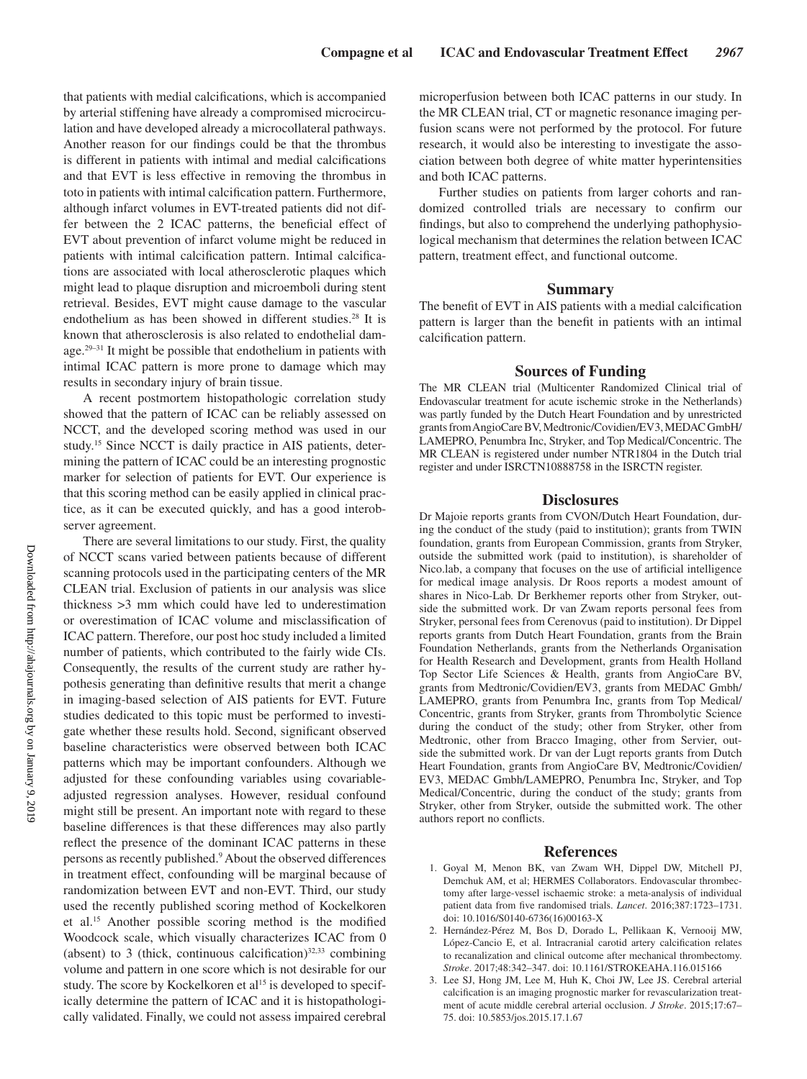that patients with medial calcifications, which is accompanied by arterial stiffening have already a compromised microcirculation and have developed already a microcollateral pathways. Another reason for our findings could be that the thrombus is different in patients with intimal and medial calcifications and that EVT is less effective in removing the thrombus in toto in patients with intimal calcification pattern. Furthermore, although infarct volumes in EVT-treated patients did not differ between the 2 ICAC patterns, the beneficial effect of EVT about prevention of infarct volume might be reduced in patients with intimal calcification pattern. Intimal calcifications are associated with local atherosclerotic plaques which might lead to plaque disruption and microemboli during stent retrieval. Besides, EVT might cause damage to the vascular endothelium as has been showed in different studies.<sup>28</sup> It is known that atherosclerosis is also related to endothelial damage. $29-31$  It might be possible that endothelium in patients with intimal ICAC pattern is more prone to damage which may results in secondary injury of brain tissue.

A recent postmortem histopathologic correlation study showed that the pattern of ICAC can be reliably assessed on NCCT, and the developed scoring method was used in our study.15 Since NCCT is daily practice in AIS patients, determining the pattern of ICAC could be an interesting prognostic marker for selection of patients for EVT. Our experience is that this scoring method can be easily applied in clinical practice, as it can be executed quickly, and has a good interobserver agreement.

There are several limitations to our study. First, the quality of NCCT scans varied between patients because of different scanning protocols used in the participating centers of the MR CLEAN trial. Exclusion of patients in our analysis was slice thickness >3 mm which could have led to underestimation or overestimation of ICAC volume and misclassification of ICAC pattern. Therefore, our post hoc study included a limited number of patients, which contributed to the fairly wide CIs. Consequently, the results of the current study are rather hypothesis generating than definitive results that merit a change in imaging-based selection of AIS patients for EVT. Future studies dedicated to this topic must be performed to investigate whether these results hold. Second, significant observed baseline characteristics were observed between both ICAC patterns which may be important confounders. Although we adjusted for these confounding variables using covariableadjusted regression analyses. However, residual confound might still be present. An important note with regard to these baseline differences is that these differences may also partly reflect the presence of the dominant ICAC patterns in these persons as recently published.<sup>9</sup> About the observed differences in treatment effect, confounding will be marginal because of randomization between EVT and non-EVT. Third, our study used the recently published scoring method of Kockelkoren et al.15 Another possible scoring method is the modified Woodcock scale, which visually characterizes ICAC from 0 (absent) to 3 (thick, continuous calcification) $32,33$  combining volume and pattern in one score which is not desirable for our study. The score by Kockelkoren et al<sup>15</sup> is developed to specifically determine the pattern of ICAC and it is histopathologically validated. Finally, we could not assess impaired cerebral

microperfusion between both ICAC patterns in our study. In the MR CLEAN trial, CT or magnetic resonance imaging perfusion scans were not performed by the protocol. For future research, it would also be interesting to investigate the association between both degree of white matter hyperintensities and both ICAC patterns.

Further studies on patients from larger cohorts and randomized controlled trials are necessary to confirm our findings, but also to comprehend the underlying pathophysiological mechanism that determines the relation between ICAC pattern, treatment effect, and functional outcome.

#### **Summary**

The benefit of EVT in AIS patients with a medial calcification pattern is larger than the benefit in patients with an intimal calcification pattern.

## **Sources of Funding**

The MR CLEAN trial (Multicenter Randomized Clinical trial of Endovascular treatment for acute ischemic stroke in the Netherlands) was partly funded by the Dutch Heart Foundation and by unrestricted grants from AngioCare BV, Medtronic/Covidien/EV3, MEDAC GmbH/ LAMEPRO, Penumbra Inc, Stryker, and Top Medical/Concentric. The MR CLEAN is registered under number NTR1804 in the Dutch trial register and under ISRCTN10888758 in the ISRCTN register.

## **Disclosures**

Dr Majoie reports grants from CVON/Dutch Heart Foundation, during the conduct of the study (paid to institution); grants from TWIN foundation, grants from European Commission, grants from Stryker, outside the submitted work (paid to institution), is shareholder of Nico.lab, a company that focuses on the use of artificial intelligence for medical image analysis. Dr Roos reports a modest amount of shares in Nico-Lab. Dr Berkhemer reports other from Stryker, outside the submitted work. Dr van Zwam reports personal fees from Stryker, personal fees from Cerenovus (paid to institution). Dr Dippel reports grants from Dutch Heart Foundation, grants from the Brain Foundation Netherlands, grants from the Netherlands Organisation for Health Research and Development, grants from Health Holland Top Sector Life Sciences & Health, grants from AngioCare BV, grants from Medtronic/Covidien/EV3, grants from MEDAC Gmbh/ LAMEPRO, grants from Penumbra Inc, grants from Top Medical/ Concentric, grants from Stryker, grants from Thrombolytic Science during the conduct of the study; other from Stryker, other from Medtronic, other from Bracco Imaging, other from Servier, outside the submitted work. Dr van der Lugt reports grants from Dutch Heart Foundation, grants from AngioCare BV, Medtronic/Covidien/ EV3, MEDAC Gmbh/LAMEPRO, Penumbra Inc, Stryker, and Top Medical/Concentric, during the conduct of the study; grants from Stryker, other from Stryker, outside the submitted work. The other authors report no conflicts.

## **References**

- 1. Goyal M, Menon BK, van Zwam WH, Dippel DW, Mitchell PJ, Demchuk AM, et al; HERMES Collaborators. Endovascular thrombectomy after large-vessel ischaemic stroke: a meta-analysis of individual patient data from five randomised trials. *Lancet*. 2016;387:1723–1731. doi: 10.1016/S0140-6736(16)00163-X
- 2. Hernández-Pérez M, Bos D, Dorado L, Pellikaan K, Vernooij MW, López-Cancio E, et al. Intracranial carotid artery calcification relates to recanalization and clinical outcome after mechanical thrombectomy. *Stroke*. 2017;48:342–347. doi: 10.1161/STROKEAHA.116.015166
- 3. Lee SJ, Hong JM, Lee M, Huh K, Choi JW, Lee JS. Cerebral arterial calcification is an imaging prognostic marker for revascularization treatment of acute middle cerebral arterial occlusion. *J Stroke*. 2015;17:67– 75. doi: 10.5853/jos.2015.17.1.67